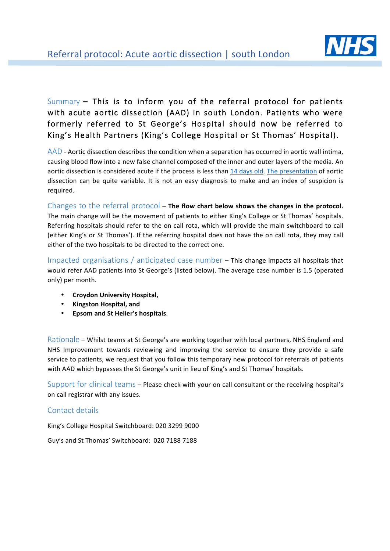

## Summary – This is to inform you of the referral protocol for patients with acute aortic dissection (AAD) in south London. Patients who were formerly referred to St George's Hospital should now be referred to King's Health Partners (King's College Hospital or St Thomas' Hospital).

 $AAD$  - Aortic dissection describes the condition when a separation has occurred in aortic wall intima, causing blood flow into a new false channel composed of the inner and outer layers of the media. An aortic dissection is considered acute if the process is less than 14 days old. The presentation of aortic dissection can be quite variable. It is not an easy diagnosis to make and an index of suspicion is required.

Changes to the referral protocol – The flow chart below shows the changes in the protocol. The main change will be the movement of patients to either King's College or St Thomas' hospitals. Referring hospitals should refer to the on call rota, which will provide the main switchboard to call (either King's or St Thomas'). If the referring hospital does not have the on call rota, they may call either of the two hospitals to be directed to the correct one.

Impacted organisations / anticipated case number  $-$  This change impacts all hospitals that would refer AAD patients into St George's (listed below). The average case number is 1.5 (operated only) per month.

- **Croydon University Hospital,**
- **Kingston Hospital, and**
- **Epsom and St Helier's hospitals**.

Rationale – Whilst teams at St George's are working together with local partners, NHS England and NHS Improvement towards reviewing and improving the service to ensure they provide a safe service to patients, we request that you follow this temporary new protocol for referrals of patients with AAD which bypasses the St George's unit in lieu of King's and St Thomas' hospitals.

Support for clinical teams – Please check with your on call consultant or the receiving hospital's on call registrar with any issues.

## Contact details

King's College Hospital Switchboard: 020 3299 9000

Guy's and St Thomas' Switchboard: 020 7188 7188